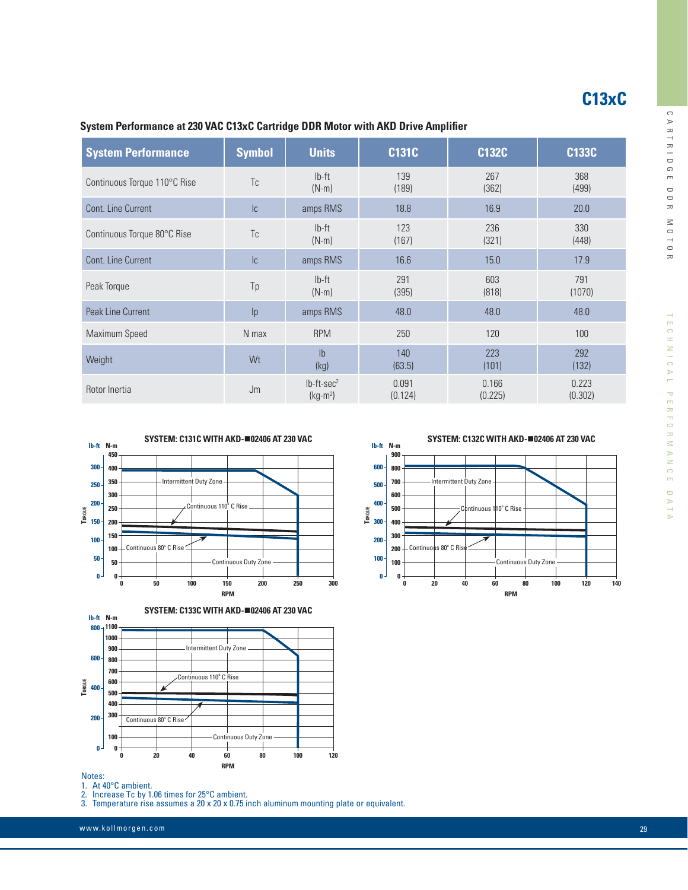$^{-1}_{\Omega}$ **R** 

| System Performance at 230 VAC C13xC Cartridge DDR Motor with AKD Drive Amplifier |               |                       |              |              |               |
|----------------------------------------------------------------------------------|---------------|-----------------------|--------------|--------------|---------------|
| <b>System Performance</b>                                                        | <b>Symbol</b> | <b>Units</b>          | <b>C131C</b> | C132C        | <b>C133C</b>  |
| Continuous Torque 110°C Rise                                                     | Tc            | $Ib-ft$<br>$(N-m)$    | 139<br>(189) | 267<br>(362) | 368<br>(499)  |
| Cont. Line Current                                                               | c             | amps RMS              | 18.8         | 16.9         | 20.0          |
| Continuous Torque 80°C Rise                                                      | Tc            | $Ib-ft$<br>$(N-m)$    | 123<br>(167) | 236<br>(321) | 330<br>(448)  |
| Cont. Line Current                                                               | c             | amps RMS              | 16.6         | 15.0         | 17.9          |
| Peak Torque                                                                      | Tp            | $Ib-ft$<br>$(N-m)$    | 291<br>(395) | 603<br>(818) | 791<br>(1070) |
| Peak Line Current                                                                | p             | amps RMS              | 48.0         | 48.0         | 48.0          |
| Maximum Speed                                                                    | N max         | <b>RPM</b>            | 250          | 120          | 100           |
| Weight                                                                           | Wt            | $\mathsf{lb}$<br>11.4 | 140<br>100F1 | 223<br>11011 | 292<br>11001  |

(63.5)

0.091 (0.124)

(kg)

 $(kg-m<sup>2</sup>)$ 



Rotor Inertia  $\mathsf{Jm}$  lb-ft-sec<sup>2</sup>



#### Notes:

1. At 40°C ambient.

2. Increase Tc by 1.06 times for 25°C ambient.

3. Temperature rise assumes a 20 x 20 x 0.75 inch aluminum mounting plate or equivalent.

www.kollmorgen.com 29 Page 2014 12:00 Page 2014 12:00 Page 2014 12:00 Page 2014 12:00 Page 2014 12:00 Page 201

**SYSTEM: C132C WITH AKD-**n**02406 AT 230 VAC**

(132)

**C13xC**

0.223 (0.302)

(101)

0.166 (0.225)

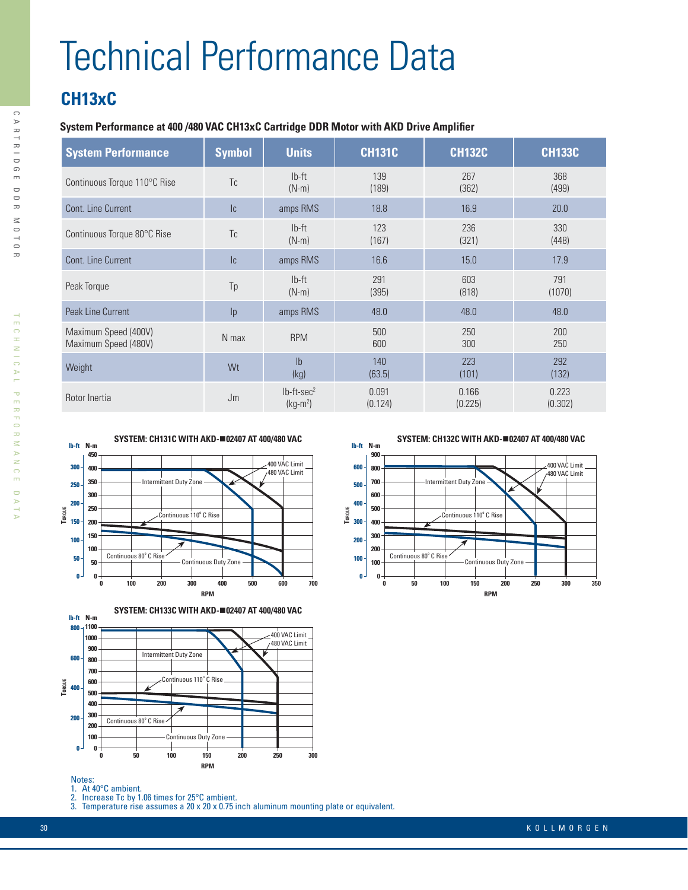# Technical Performance Data

## **CH13xC**

 $\bigcap$ 

A R T R I D

 G $\blacksquare$  $\Box$  D  $\leq$  $\supseteq$  O**R** 

### **System Performance at 400 /480 VAC CH13xC Cartridge DDR Motor with AKD Drive Amplifier**

| <b>System Performance</b>                    | <b>Symbol</b> | <b>Units</b>                           | <b>CH131C</b>    | <b>CH132C</b>    | <b>CH133C</b>    |
|----------------------------------------------|---------------|----------------------------------------|------------------|------------------|------------------|
| Continuous Torque 110°C Rise                 | Tc            | $Ib-ft$<br>$(N-m)$                     | 139<br>(189)     | 267<br>(362)     | 368<br>(499)     |
| Cont. Line Current                           | c             | amps RMS                               | 18.8             | 16.9             | 20.0             |
| Continuous Torque 80°C Rise                  | Tc            | $Ib-ft$<br>$(N-m)$                     | 123<br>(167)     | 236<br>(321)     | 330<br>(448)     |
| Cont. Line Current                           | c             | amps RMS                               | 16.6             | 15.0             | 17.9             |
| Peak Torque                                  | Tp            | $Ib-ft$<br>$(N-m)$                     | 291<br>(395)     | 603<br>(818)     | 791<br>(1070)    |
| Peak Line Current                            | p             | amps RMS                               | 48.0             | 48.0             | 48.0             |
| Maximum Speed (400V)<br>Maximum Speed (480V) | N max         | <b>RPM</b>                             | 500<br>600       | 250<br>300       | 200<br>250       |
| Weight                                       | Wt            | I <sub>b</sub><br>(kg)                 | 140<br>(63.5)    | 223<br>(101)     | 292<br>(132)     |
| Rotor Inertia                                | Jm            | $lb$ -ft-sec <sup>2</sup><br>$(kg-m2)$ | 0.091<br>(0.124) | 0.166<br>(0.225) | 0.223<br>(0.302) |





Notes:

1. At 40°C ambient.<br>2. Increase Tc by 1.

2. Increase Tc by 1.06 times for  $25^{\circ}$ C ambient.<br>3. Temperature rise assumes a  $20 \times 20 \times 0.75$  i Temperature rise assumes a 20 x 20 x 0.75 inch aluminum mounting plate or equivalent.

**SYSTEM: CH132C WITH AKD-**n**02407 AT 400/480 VAC**



TECHNIC

ECHNICAL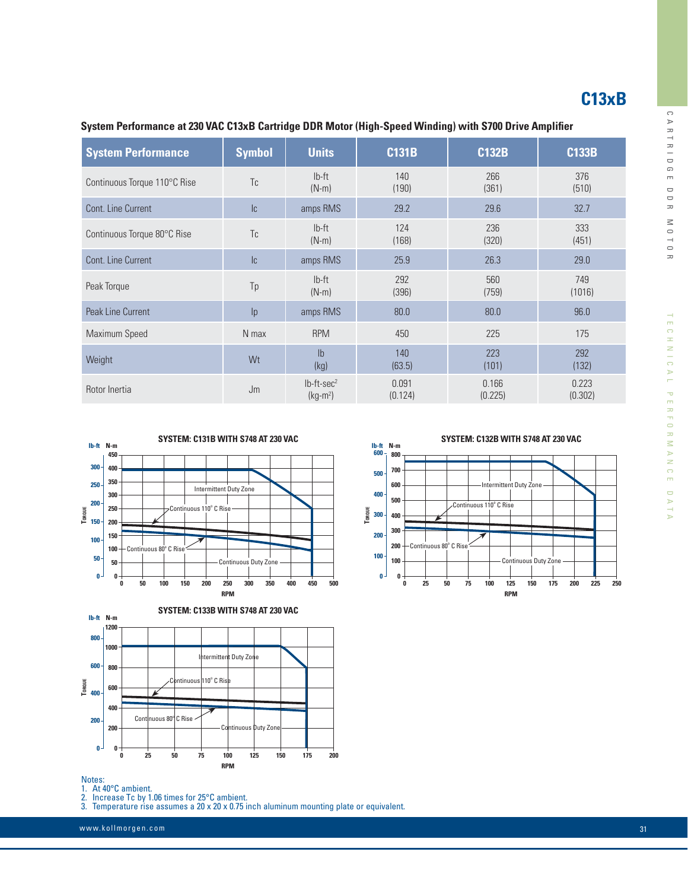## **C13xB**

| <b>System Performance</b>    | <b>Symbol</b> | <b>Units</b>                  | <b>C131B</b>     | <b>C132B</b>     | <b>C133B</b>     |
|------------------------------|---------------|-------------------------------|------------------|------------------|------------------|
| Continuous Torque 110°C Rise | Tc            | $Ib-ft$<br>$(N-m)$            | 140<br>(190)     | 266<br>(361)     | 376<br>(510)     |
| Cont. Line Current           | c             | amps RMS                      | 29.2             | 29.6             | 32.7             |
| Continuous Torque 80°C Rise  | Tc            | $Ib-ft$<br>$(N-m)$            | 124<br>(168)     | 236<br>(320)     | 333<br>(451)     |
| Cont. Line Current           | c             | amps RMS                      | 25.9             | 26.3             | 29.0             |
| Peak Torque                  | Tp            | $Ib-ft$<br>$(N-m)$            | 292<br>(396)     | 560<br>(759)     | 749<br>(1016)    |
| <b>Peak Line Current</b>     | p             | amps RMS                      | 80.0             | 80.0             | 96.0             |
| Maximum Speed                | N max         | <b>RPM</b>                    | 450              | 225              | 175              |
| Weight                       | Wt            | I <sub>b</sub><br>(kg)        | 140<br>(63.5)    | 223<br>(101)     | 292<br>(132)     |
| Rotor Inertia                | Jm            | $lb$ -ft-sec $2$<br>$(kg-m2)$ | 0.091<br>(0.124) | 0.166<br>(0.225) | 0.223<br>(0.302) |

### **System Performance at 230 VAC C13xB Cartridge DDR Motor (High-Speed Winding) with S700 Drive Amplifier**





# Notes:<br>1. At 4<br>2. Inc

At 40°C ambient.

2. Increase Tc by 1.06 times for 25°C ambient.<br>3. Temperature rise assumes a 20 x 20 x 0.75 in

Temperature rise assumes a 20 x 20 x 0.75 inch aluminum mounting plate or equivalent.

www.kollmorgen.com 31

**SYSTEM: C132B WITH S748 AT 230 VAC**



**R** 

 $\mathbin{\cap}$